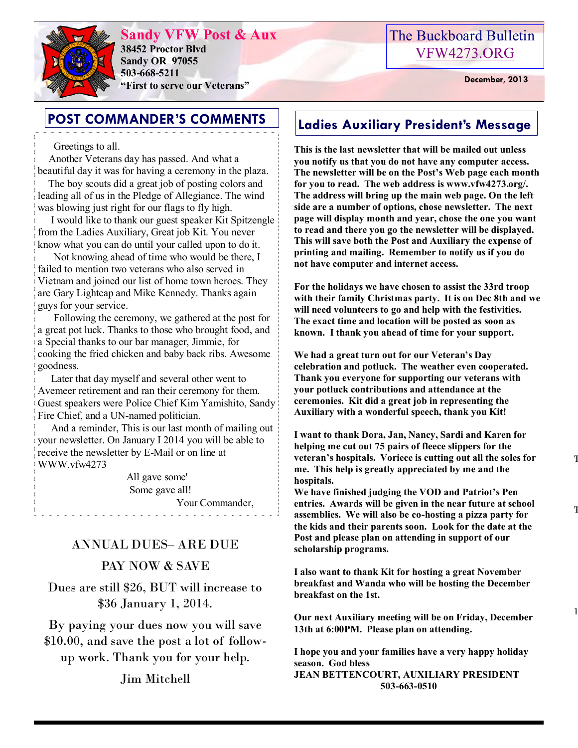

**Sandy VFW Post & Aux 38452 Proctor Blvd Sandy OR 97055 503-668-5211 "First to serve our Veterans" December, 2013** 

## The Buckboard Bulletin [VFW4273.ORG](http://vfw4273.org/)

## **POST COMMANDER'S COMMENTS** | Ladies Auxiliary President's Message

### Greetings to all.

 Another Veterans day has passed. And what a beautiful day it was for having a ceremony in the plaza.

 The boy scouts did a great job of posting colors and leading all of us in the Pledge of Allegiance. The wind was blowing just right for our flags to fly high.

 I would like to thank our guest speaker Kit Spitzengle from the Ladies Auxiliary, Great job Kit. You never know what you can do until your called upon to do it.

 Not knowing ahead of time who would be there, I failed to mention two veterans who also served in Vietnam and joined our list of home town heroes. They are Gary Lightcap and Mike Kennedy. Thanks again guys for your service.

 Following the ceremony, we gathered at the post for a great pot luck. Thanks to those who brought food, and a Special thanks to our bar manager, Jimmie, for cooking the fried chicken and baby back ribs. Awesome goodness.

 Later that day myself and several other went to Avemeer retirement and ran their ceremony for them. Guest speakers were Police Chief Kim Yamishito, Sandy Fire Chief, and a UN-named politician.

 And a reminder, This is our last month of mailing out your newsletter. On January I 2014 you will be able to receive the newsletter by E-Mail or on line at WWW.vfw4273

 All gave some' Some gave all! Your Commander,

### ANNUAL DUES– ARE DUE

### PAY NOW & SAVE

Dues are still \$26, BUT will increase to \$36 January 1, 2014.

By paying your dues now you will save \$10.00, and save the post a lot of followup work. Thank you for your help.

Jim Mitchell

**This is the last newsletter that will be mailed out unless you notify us that you do not have any computer access. The newsletter will be on the Post's Web page each month for you to read. The web address is www.vfw4273.org/. The address will bring up the main web page. On the left side are a number of options, chose newsletter. The next page will display month and year, chose the one you want to read and there you go the newsletter will be displayed. This will save both the Post and Auxiliary the expense of printing and mailing. Remember to notify us if you do not have computer and internet access.**

**For the holidays we have chosen to assist the 33rd troop with their family Christmas party. It is on Dec 8th and we will need volunteers to go and help with the festivities. The exact time and location will be posted as soon as known. I thank you ahead of time for your support.**

**We had a great turn out for our Veteran's Day celebration and potluck. The weather even cooperated. Thank you everyone for supporting our veterans with your potluck contributions and attendance at the ceremonies. Kit did a great job in representing the Auxiliary with a wonderful speech, thank you Kit!**

**I want to thank Dora, Jan, Nancy, Sardi and Karen for helping me cut out 75 pairs of fleece slippers for the veteran's hospitals. Voriece is cutting out all the soles for me. This help is greatly appreciated by me and the hospitals.**

**We have finished judging the VOD and Patriot's Pen entries. Awards will be given in the near future at school assemblies. We will also be co-hosting a pizza party for the kids and their parents soon. Look for the date at the Post and please plan on attending in support of our scholarship programs.**

**I also want to thank Kit for hosting a great November breakfast and Wanda who will be hosting the December breakfast on the 1st.**

**Our next Auxiliary meeting will be on Friday, December 13th at 6:00PM. Please plan on attending.**

**I hope you and your families have a very happy holiday season. God bless JEAN BETTENCOURT, AUXILIARY PRESIDENT 503-663-0510**

1.

 $\mathbf 1$ 

 $\mathbf T$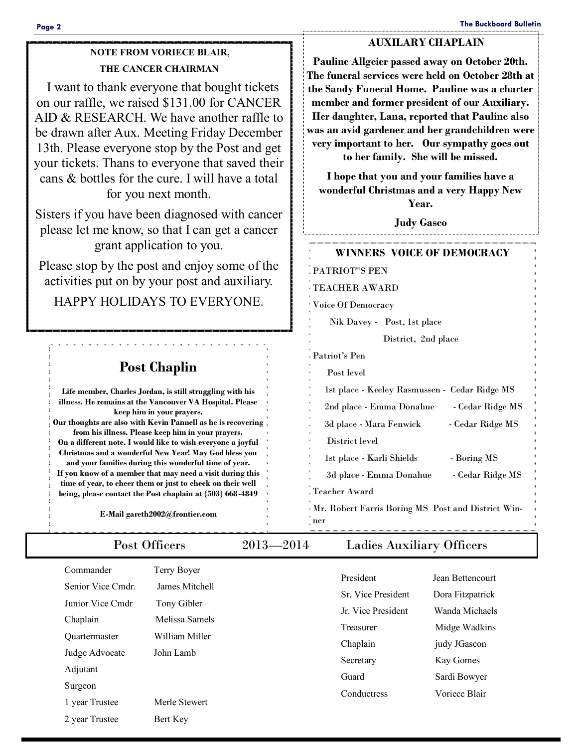### **AUXILARY CHAPLAIN**

**NOTE FROM VORIECE BLAIR, THE CANCER CHAIRMAN**

 I want to thank everyone that bought tickets on our raffle, we raised \$131.00 for CANCER AID & RESEARCH. We have another raffle to be drawn after Aux. Meeting Friday December 13th. Please everyone stop by the Post and get your tickets. Thans to everyone that saved their cans & bottles for the cure. I will have a total for you next month.

Sisters if you have been diagnosed with cancer please let me know, so that I can get a cancer grant application to you.

Please stop by the post and enjoy some of the activities put on by your post and auxiliary.

HAPPY HOLIDAYS TO EVERYONE.

## **Post Chaplin**

**Life member, Charles Jordan, is still struggling with his illness. He remains at the Vancouver VA Hospital. Please keep him in your prayers. Our thoughts are also with Kevin Pannell as he is recovering from his illness. Please keep him in your prayers. On a different note. I would like to wish everyone a joyful Christmas and a wonderful New Year! May God bless you and your families during this wonderful time of year. If you know of a member that may need a visit during this time of year, to cheer them or just to check on their well being, please contact the Post chaplain at {503} 668-4849**

**E-Mail gareth2002@frontier.com**

| Commander            | Terry Boyer    | President          |                  |
|----------------------|----------------|--------------------|------------------|
| Senior Vice Cmdr.    | James Mitchell |                    | Jean Bettencourt |
| Junior Vice Cmdr     | Tony Gibler    | Sr. Vice President | Dora Fitzpatrick |
| Chaplain             | Melissa Samels | Jr. Vice President | Wanda Michaels   |
|                      | William Miller | Treasurer          | Midge Wadkins    |
| <b>Ouartermaster</b> |                | Chaplain           | judy JGascon     |
| Judge Advocate       | John Lamb      | Secretary          | Kay Gomes        |
| Adjutant             |                | Guard              | Sardi Bowyer     |
| Surgeon              |                | Conductress        | Voriece Blair    |
| 1 year Trustee       | Merle Stewert  |                    |                  |
| 2 year Trustee       | Bert Key       |                    |                  |

**Pauline Allgeier passed away on October 20th. The funeral services were held on October 28th at the Sandy Funeral Home. Pauline was a charter member and former president of our Auxiliary. Her daughter, Lana, reported that Pauline also was an avid gardener and her grandchildren were very important to her. Our sympathy goes out to her family. She will be missed.**

**I hope that you and your families have a wonderful Christmas and a very Happy New Year.** 

**Judy Gasco** 

# **WINNERS VOICE OF DEMOCRACY**

PATRIOT"S PEN

TEACHER AWARD

Voice Of Democracy

Nik Davey - Post, 1st place

District, 2nd place

Patriot's Pen

 Post level 1st place - Keeley Rasmussen - Cedar Ridge MS 2nd place - Emma Donahue - Cedar Ridge MS 3d place - Mara Fenwick - Cedar Ridge MS

District level

1st place - Karli Shields - Boring MS 3d place - Emma Donahue - Cedar Ridge MS

Teacher Award Mr. Robert Farris Boring MS Post and District Winner

Post Officers 2013—2014 Ladies Auxiliary Officers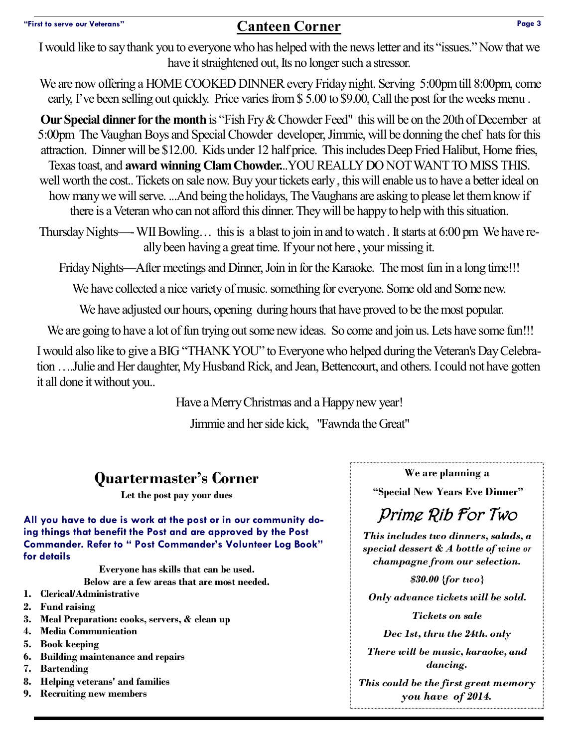## **"First to serve our Veterans" Canteen Corner Page 3**

I would like to say thank you to everyone who has helped with the news letter and its "issues." Now that we have it straightened out, Its no longer such a stressor.

We are now offering a HOME COOKED DINNER every Friday night. Serving 5:00pm till 8:00pm, come early, I've been selling out quickly. Price varies from \$5.00 to \$9.00, Call the post for the weeks menu.

**Our Special dinner for the month** is "Fish Fry & Chowder Feed" this will be on the 20th of December at 5:00pm The Vaughan Boys and Special Chowder developer, Jimmie, will be donning the chef hats for this attraction. Dinner will be \$12.00. Kids under 12 half price. This includes Deep Fried Halibut, Home fries, Texas toast, and **award winning Clam Chowder.**..YOU REALLY DO NOT WANT TO MISS THIS. well worth the cost.. Tickets on sale now. Buy your tickets early , this will enable us to have a better ideal on how many we will serve. ...And being the holidays, The Vaughans are asking to please let them know if there is a Veteran who can not afford this dinner. They will be happy to help with this situation.

Thursday Nights—-WII Bowling… this is a blast to join in and to watch . It starts at 6:00 pm We have really been having a great time. If your not here , your missing it.

Friday Nights—After meetings and Dinner, Join in for the Karaoke. The most fun in a long time!!!

We have collected a nice variety of music. something for everyone. Some old and Some new.

We have adjusted our hours, opening during hours that have proved to be the most popular.

We are going to have a lot of fun trying out some new ideas. So come and join us. Lets have some fun!!!

I would also like to give a BIG "THANK YOU" to Everyone who helped during the Veteran's Day Celebration ….Julie and Her daughter, My Husband Rick, and Jean, Bettencourt, and others. I could not have gotten it all done it without you..

Have a Merry Christmas and a Happy new year!

Jimmie and her side kick, "Fawnda the Great"

# **Quartermaster's Corner**

**Let the post pay your dues**

**All you have to due is work at the post or in our community doing things that benefit the Post and are approved by the Post Commander. Refer to " Post Commander's Volunteer Log Book" for details** 

**Everyone has skills that can be used.** 

**Below are a few areas that are most needed.** 

- **1. Clerical/Administrative**
- **2. Fund raising**
- **3. Meal Preparation: cooks, servers, & clean up**
- **4. Media Communication**
- **5. Book keeping**
- **6. Building maintenance and repairs**
- **7. Bartending**
- **8. Helping veterans' and families**
- **9. Recruiting new members**

**We are planning a**

**"Special New Years Eve Dinner"**

# Prime Rib For Two

*This includes two dinners, salads, a special dessert & A bottle of wine or champagne from our selection.*

*\$30.00 {for two} Only advance tickets will be sold. Tickets on sale Dec 1st, thru the 24th. only There will be music, karaoke, and dancing. This could be the first great memory you have of 2014.*